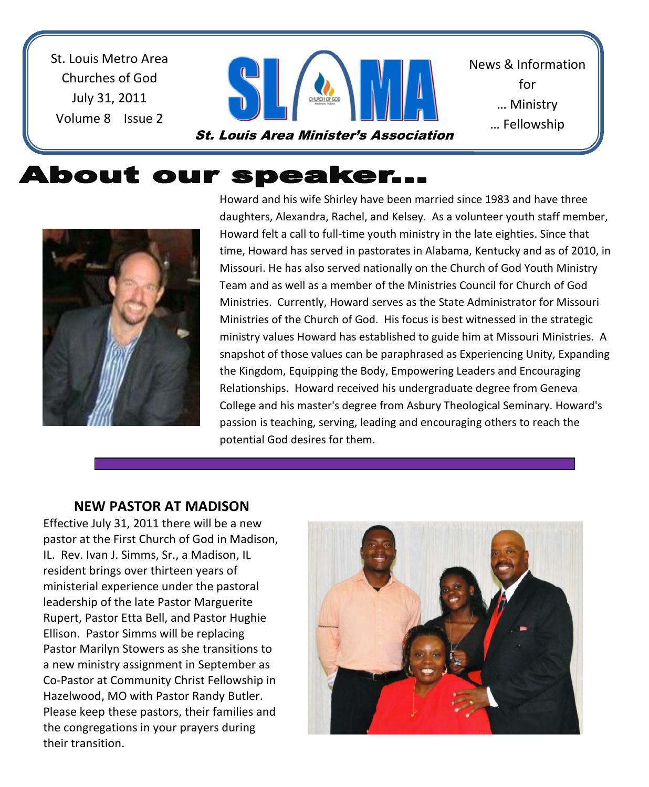St. Louis Metro Area Churches of God July 31, 2011 Volume 8 Issue 2



St. Louis Area Minister's Association

News & Information for … Ministry … Fellowship

<u>… Sharing Shari</u>

# About our speaker...



Howard and his wife Shirley have been married since 1983 and have three daughters, Alexandra, Rachel, and Kelsey. As a volunteer youth staff member, Howard felt a call to full-time youth ministry in the late eighties. Since that time, Howard has served in pastorates in Alabama, Kentucky and as of 2010, in Missouri. He has also served nationally on the Church of God Youth Ministry Team and as well as a member of the Ministries Council for Church of God Ministries. Currently, Howard serves as the State Administrator for Missouri Ministries of the Church of God. His focus is best witnessed in the strategic ministry values Howard has established to guide him at Missouri Ministries. A snapshot of those values can be paraphrased as Experiencing Unity, Expanding the Kingdom, Equipping the Body, Empowering Leaders and Encouraging Relationships. Howard received his undergraduate degree from Geneva College and his master's degree from Asbury Theological Seminary. Howard's passion is teaching, serving, leading and encouraging others to reach the potential God desires for them.

#### **NEW PASTOR AT MADISON**

 the congregations in your prayers during Effective July 31, 2011 there will be a new pastor at the First Church of God in Madison, IL. Rev. Ivan J. Simms, Sr., a Madison, IL resident brings over thirteen years of ministerial experience under the pastoral leadership of the late Pastor Marguerite Rupert, Pastor Etta Bell, and Pastor Hughie Ellison. Pastor Simms will be replacing Pastor Marilyn Stowers as she transitions to a new ministry assignment in September as Co-Pastor at Community Christ Fellowship in Hazelwood, MO with Pastor Randy Butler. Please keep these pastors, their families and their transition.

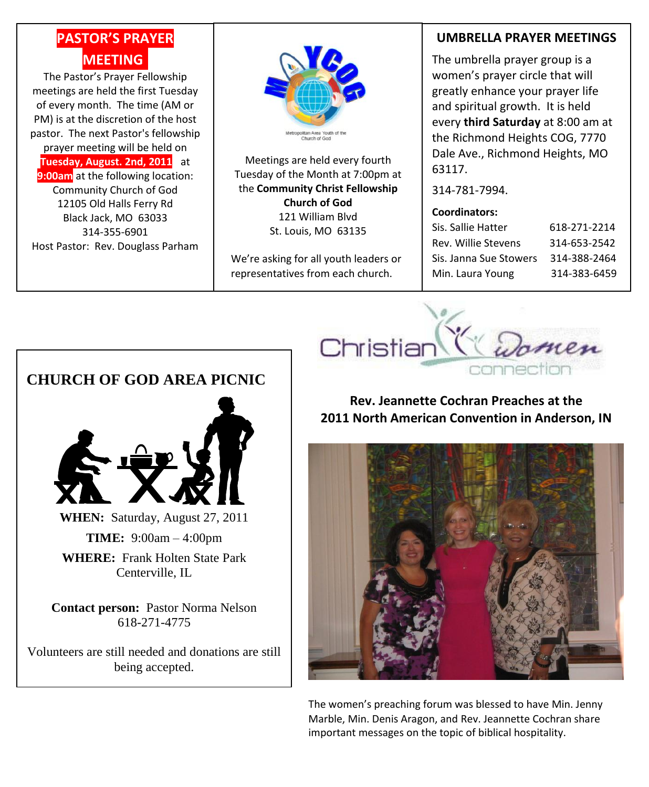# **PASTOR'S PRAYER MEETING.**

The Pastor's Prayer Fellowship meetings are held the first Tuesday of every month. The time (AM or PM) is at the discretion of the host pastor. The next Pastor's fellowship prayer meeting will be held on **Tuesday, August. 2nd, 2011** at **9:00am** at the following location: Community Church of God 12105 Old Halls Ferry Rd Black Jack, MO 63033 314-355-6901 Host Pastor: Rev. Douglass Parham



Meetings are held every fourth Tuesday of the Month at 7:00pm at the **Community Christ Fellowship Church of God** 121 William Blvd St. Louis, MO 63135

We're asking for all youth leaders or representatives from each church.

### **UMBRELLA PRAYER MEETINGS**

The umbrella prayer group is a women's prayer circle that will greatly enhance your prayer life and spiritual growth. It is held every **third Saturday** at 8:00 am at the Richmond Heights COG, 7770 Dale Ave., Richmond Heights, MO 63117.

314-781-7994.

#### **Coordinators:**

| Sis. Sallie Hatter     | 618-271-2214 |
|------------------------|--------------|
| Rev. Willie Stevens    | 314-653-2542 |
| Sis. Janna Sue Stowers | 314-388-2464 |
| Min. Laura Young       | 314-383-6459 |



### **Rev. Jeannette Cochran Preaches at the 2011 North American Convention in Anderson, IN**



The women's preaching forum was blessed to have Min. Jenny Marble, Min. Denis Aragon, and Rev. Jeannette Cochran share important messages on the topic of biblical hospitality.

### **CHURCH OF GOD AREA PICNIC**



**WHEN:** Saturday, August 27, 2011

**TIME:** 9:00am – 4:00pm

**WHERE:** Frank Holten State Park Centerville, IL.

**Contact person:** Pastor Norma Nelson 618-271-4775

Volunteers are still needed and donations are still being accepted.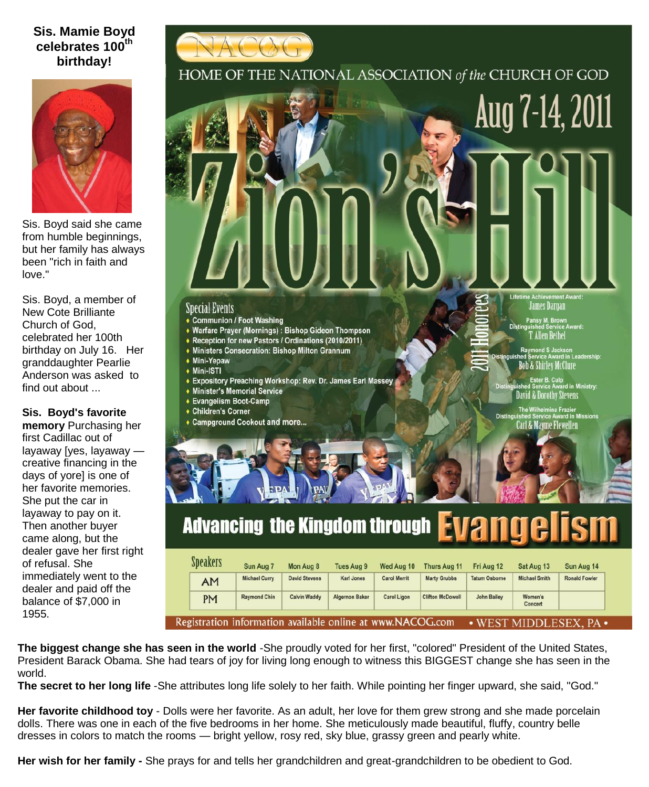### **Sis. Mamie Boyd celebrates 100th birthday!**



HOME OF THE NATIONAL ASSOCIATION of the CHURCH OF GOD



| <b>Speakers</b>                                                                         | Sun Aug 7            | Mon Aug 8            | <b>Tues Aug 9</b>     | Wed Aug 10          | <b>Thurs Aug 11</b>     | Fri Aug 12           | Sat Aug 13           | Sun Aug 14           |  |  |
|-----------------------------------------------------------------------------------------|----------------------|----------------------|-----------------------|---------------------|-------------------------|----------------------|----------------------|----------------------|--|--|
| <b>AM</b>                                                                               | <b>Michael Curry</b> | <b>David Stevens</b> | <b>Karl Jones</b>     | <b>Carol Merrit</b> | <b>Marty Grubbs</b>     | <b>Tatum Osborne</b> | <b>Michael Smith</b> | <b>Ronald Fowler</b> |  |  |
| <b>PM</b>                                                                               | <b>Raymond Chin</b>  | <b>Calvin Waddy</b>  | <b>Algernon Baker</b> | <b>Carol Ligon</b>  | <b>Clifton McDowell</b> | John Bailey          | Women's<br>Concert   |                      |  |  |
| egistration information available online at www.NACOG.com<br>MIDDLESEX.<br>$\cdot$ WEST |                      |                      |                       |                     |                         |                      |                      |                      |  |  |

**The biggest change she has seen in the world** -She proudly voted for her first, "colored" President of the United States, President Barack Obama. She had tears of joy for living long enough to witness this BIGGEST change she has seen in the world.

**The secret to her long life** -She attributes long life solely to her faith. While pointing her finger upward, she said, "God."

**Her favorite childhood toy** - Dolls were her favorite. As an adult, her love for them grew strong and she made porcelain dolls. There was one in each of the five bedrooms in her home. She meticulously made beautiful, fluffy, country belle dresses in colors to match the rooms — bright yellow, rosy red, sky blue, grassy green and pearly white.

**Her wish for her family -** She prays for and tells her grandchildren and great-grandchildren to be obedient to God.



Sis. Boyd said she came from humble beginnings, but her family has always been "rich in faith and love."

Sis. Boyd, a member of New Cote Brilliante Church of God, celebrated her 100th birthday on July 16. Her granddaughter Pearlie Anderson was asked to find out about ...

**Sis. Boyd's favorite** 

**memory** Purchasing her first Cadillac out of layaway [yes, layaway creative financing in the days of yore] is one of her favorite memories. She put the car in layaway to pay on it. Then another buyer came along, but the dealer gave her first right of refusal. She immediately went to the dealer and paid off the balance of \$7,000 in 1955.